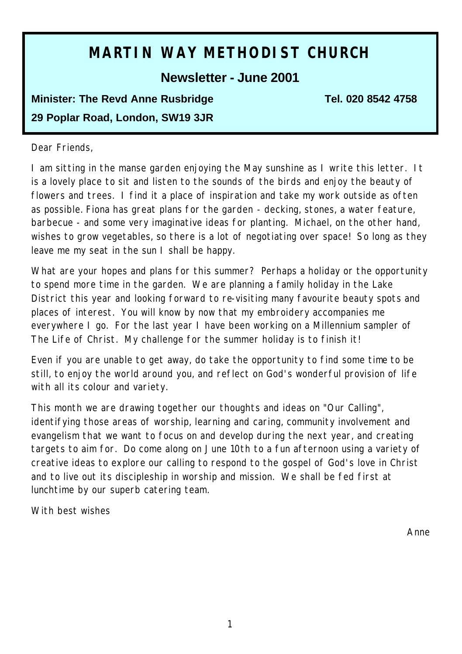# **MARTIN WAY METHODIST CHURCH**

## **Newsletter - June 2001**

## **Minister: The Revd Anne Rusbridge Tel. 020 8542 4758 29 Poplar Road, London, SW19 3JR**

#### Dear Friends,

I am sitting in the manse garden enjoying the May sunshine as I write this letter. It is a lovely place to sit and listen to the sounds of the birds and enjoy the beauty of flowers and trees. I find it a place of inspiration and take my work outside as often as possible. Fiona has great plans for the garden - decking, stones, a water feature, barbecue - and some very imaginative ideas for planting. Michael, on the other hand, wishes to grow vegetables, so there is a lot of negotiating over space! So long as they leave me my seat in the sun I shall be happy.

What are your hopes and plans for this summer? Perhaps a holiday or the opportunity to spend more time in the garden. We are planning a family holiday in the Lake District this year and looking forward to re-visiting many favourite beauty spots and places of interest. You will know by now that my embroidery accompanies me everywhere I go. For the last year I have been working on a Millennium sampler of The Life of Christ. My challenge for the summer holiday is to finish it!

Even if you are unable to get away, do take the opportunity to find some time to be still, to enjoy the world around you, and reflect on God's wonderful provision of life with all its colour and variety.

This month we are drawing together our thoughts and ideas on "Our Calling", identifying those areas of worship, learning and caring, community involvement and evangelism that we want to focus on and develop during the next year, and creating targets to aim for. Do come along on June 10th to a fun afternoon using a variety of creative ideas to explore our calling to respond to the gospel of God's love in Christ and to live out its discipleship in worship and mission. We shall be fed first at lunchtime by our superb catering team.

With best wishes

*Anne*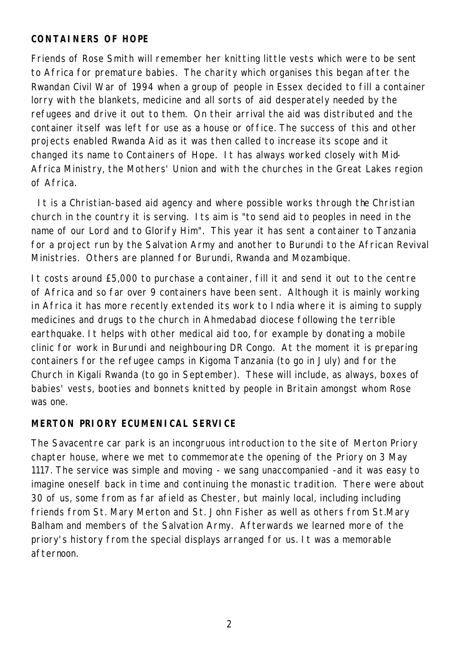### **CONTAINERS OF HOPE**

Friends of Rose Smith will remember her knitting little vests which were to be sent to Africa for premature babies. The charity which organises this began after the Rwandan Civil War of 1994 when a group of people in Essex decided to fill a container lorry with the blankets, medicine and all sorts of aid desperately needed by the refugees and drive it out to them. On their arrival the aid was distributed and the container itself was left for use as a house or office. The success of this and other projects enabled Rwanda Aid as it was then called to increase its scope and it changed its name to Containers of Hope. It has always worked closely with Mid-Africa Ministry, the Mothers' Union and with the churches in the Great Lakes region of Africa.

 It is a Christian-based aid agency and where possible works through the Christian church in the country it is serving. Its aim is "to send aid to peoples in need in the name of our Lord and to Glorify Him". This year it has sent a container to Tanzania for a project run by the Salvation Army and another to Burundi to the African Revival Ministries. Others are planned for Burundi, Rwanda and Mozambique.

It costs around £5,000 to purchase a container, fill it and send it out to the centre of Africa and so far over 9 containers have been sent. Although it is mainly working in Africa it has more recently extended its work to India where it is aiming to supply medicines and drugs to the church in Ahmedabad diocese following the terrible earthquake. It helps with other medical aid too, for example by donating a mobile clinic for work in Burundi and neighbouring DR Congo. At the moment it is preparing containers for the refugee camps in Kigoma Tanzania (to go in July) and for the Church in Kigali Rwanda (to go in September). These will include, as always, boxes of babies' vests, booties and bonnets knitted by people in Britain amongst whom Rose was one.

#### **MERTON PRIORY ECUMENICAL SERVICE**

The Savacentre car park is an incongruous introduction to the site of Merton Priory chapter house, where we met to commemorate the opening of the Priory on 3 May 1117. The service was simple and moving - we sang unaccompanied -and it was easy to imagine oneself back in time and continuing the monastic tradition. There were about 30 of us, some from as far afield as Chester, but mainly local, including including friends from St. Mary Merton and St. John Fisher as well as others from St.Mary Balham and members of the Salvation Army. Afterwards we learned more of the priory's history from the special displays arranged for us. It was a memorable afternoon.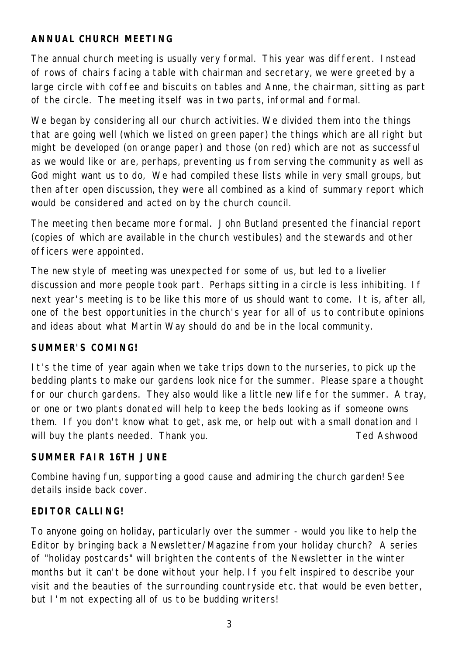## **ANNUAL CHURCH MEETING**

The annual church meeting is usually very formal. This year was different. Instead of rows of chairs facing a table with chairman and secretary, we were greeted by a large circle with coffee and biscuits on tables and Anne, the chairman, sitting as part of the circle. The meeting itself was in two parts, informal and formal.

We began by considering all our church activities. We divided them into the things that are going well (which we listed on green paper) the things which are all right but might be developed (on orange paper) and those (on red) which are not as successful as we would like or are, perhaps, preventing us from serving the community as well as God might want us to do, We had compiled these lists while in very small groups, but then after open discussion, they were all combined as a kind of summary report which would be considered and acted on by the church council.

The meeting then became more formal. John Butland presented the financial report (copies of which are available in the church vestibules) and the stewards and other officers were appointed.

The new style of meeting was unexpected for some of us, but led to a livelier discussion and more people took part. Perhaps sitting in a circle is less inhibiting. If next year's meeting is to be like this more of us should want to come. It is, after all, one of the best opportunities in the church's year for all of us to contribute opinions and ideas about what Martin Way should do and be in the local community.

#### **SUMMER'S COMING!**

It's the time of year again when we take trips down to the nurseries, to pick up the bedding plants to make our gardens look nice for the summer. Please spare a thought for our church gardens. They also would like a little new life for the summer. A tray, or one or two plants donated will help to keep the beds looking as if someone owns them. If you don't know what to get, ask me, or help out with a small donation and I will buy the plants needed. Thank you. *Ted Ashwood*

#### **SUMMER FAIR 16TH JUNE**

Combine having fun, supporting a good cause and admiring the church garden! See details inside back cover.

#### **EDITOR CALLING!**

To anyone going on holiday, particularly over the summer - would you like to help the Editor by bringing back a Newsletter/Magazine from your holiday church? A series of "holiday postcards" will brighten the contents of the Newsletter in the winter months but it can't be done without your help. If you felt inspired to describe your visit and the beauties of the surrounding countryside etc. that would be even better, but I'm not expecting all of us to be budding writers!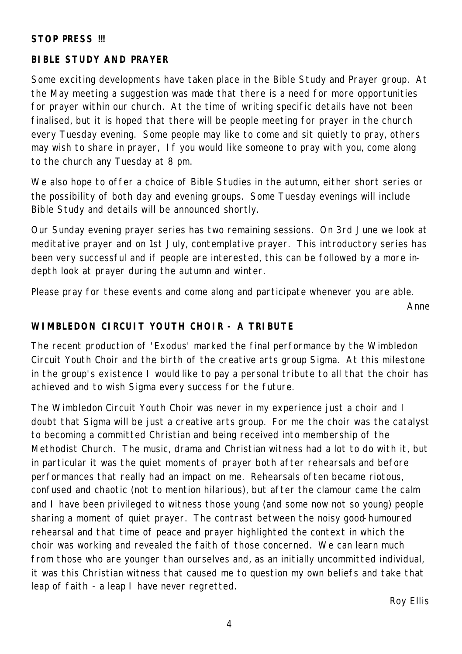#### **STOP PRESS !!!**

#### **BIBLE STUDY AND PRAYER**

Some exciting developments have taken place in the Bible Study and Prayer group. At the May meeting a suggestion was made that there is a need for more opportunities for prayer within our church. At the time of writing specific details have not been finalised, but it is hoped that there will be people meeting for prayer in the church every Tuesday evening. Some people may like to come and sit quietly to pray, others may wish to share in prayer, If you would like someone to pray with you, come along to the church any Tuesday at 8 pm.

We also hope to offer a choice of Bible Studies in the autumn, either short series or the possibility of both day and evening groups. Some Tuesday evenings will include Bible Study and details will be announced shortly.

Our Sunday evening prayer series has two remaining sessions. On 3rd June we look at meditative prayer and on 1st July, contemplative prayer. This introductory series has been very successful and if people are interested, this can be followed by a more indepth look at prayer during the autumn and winter.

Please pray for these events and come along and participate whenever you are able.

*Anne*

#### **WIMBLEDON CIRCUIT YOUTH CHOIR - A TRIBUTE**

The recent production of 'Exodus' marked the final performance by the Wimbledon Circuit Youth Choir and the birth of the creative arts group Sigma. At this milestone in the group's existence I would like to pay a personal tribute to all that the choir has achieved and to wish Sigma every success for the future.

The Wimbledon Circuit Youth Choir was never in my experience just a choir and I doubt that Sigma will be just a creative arts group. For me the choir was the catalyst to becoming a committed Christian and being received into membership of the Methodist Church. The music, drama and Christian witness had a lot to do with it, but in particular it was the quiet moments of prayer both after rehearsals and before performances that really had an impact on me. Rehearsals often became riotous, confused and chaotic (not to mention hilarious), but after the clamour came the calm and I have been privileged to witness those young (and some now not so young) people sharing a moment of quiet prayer. The contrast between the noisy good-humoured rehearsal and that time of peace and prayer highlighted the context in which the choir was working and revealed the faith of those concerned. We can learn much from those who are younger than ourselves and, as an initially uncommitted individual, it was this Christian witness that caused me to question my own beliefs and take that leap of faith - a leap I have never regretted.

*Roy Ellis*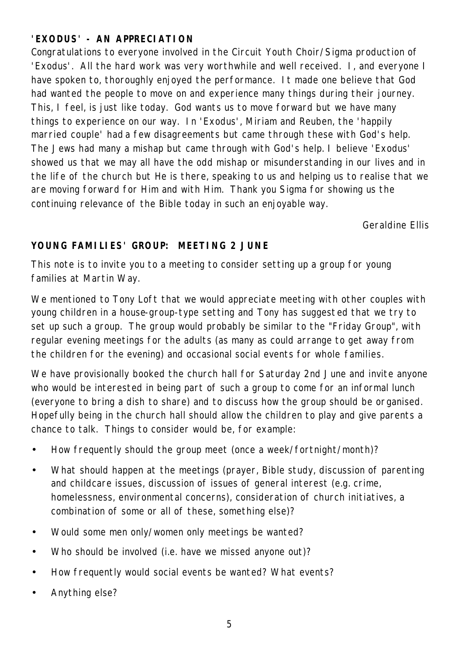## **'EXODUS' - AN APPRECIATION**

Congratulations to everyone involved in the Circuit Youth Choir/Sigma production of 'Exodus'. All the hard work was very worthwhile and well received. I, and everyone I have spoken to, thoroughly enjoyed the performance. It made one believe that God had wanted the people to move on and experience many things during their journey. This, I feel, is just like today. God wants us to move forward but we have many things to experience on our way. In 'Exodus', Miriam and Reuben, the 'happily married couple' had a few disagreements but came through these with God's help. The Jews had many a mishap but came through with God's help. I believe 'Exodus' showed us that we may all have the odd mishap or misunderstanding in our lives and in the life of the church but He is there, speaking to us and helping us to realise that we are moving forward for Him and with Him. Thank you Sigma for showing us the continuing relevance of the Bible today in such an enjoyable way.

*Geraldine Ellis*

## **YOUNG FAMILIES' GROUP: MEETING 2 JUNE**

This note is to invite you to a meeting to consider setting up a group for young families at Martin Way.

We mentioned to Tony Loft that we would appreciate meeting with other couples with young children in a house-group-type setting and Tony has suggested that we try to set up such a group. The group would probably be similar to the "Friday Group", with regular evening meetings for the adults (as many as could arrange to get away from the children for the evening) and occasional social events for whole families.

We have provisionally booked the church hall for Saturday 2nd June and invite anyone who would be interested in being part of such a group to come for an informal lunch (everyone to bring a dish to share) and to discuss how the group should be organised. Hopefully being in the church hall should allow the children to play and give parents a chance to talk. Things to consider would be, for example:

- How frequently should the group meet (once a week/fortnight/month)?
- What should happen at the meetings (prayer, Bible study, discussion of parenting and childcare issues, discussion of issues of general interest (e.g. crime, homelessness, environmental concerns), consideration of church initiatives, a combination of some or all of these, something else)?
- Would some men only/women only meetings be wanted?
- Who should be involved (i.e. have we missed anyone out)?
- How frequently would social events be wanted? What events?
- Anything else?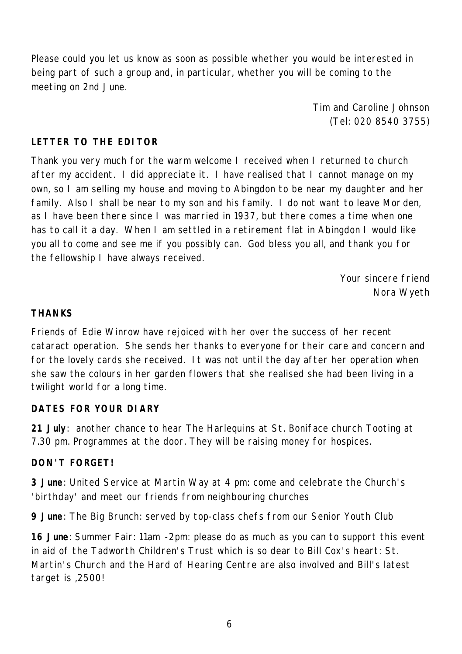Please could you let us know as soon as possible whether you would be interested in being part of such a group and, in particular, whether you will be coming to the meeting on 2nd June.

> *Tim and Caroline Johnson (Tel: 020 8540 3755)*

#### **LETTER TO THE EDITOR**

Thank you very much for the warm welcome I received when I returned to church after my accident. I did appreciate it. I have realised that I cannot manage on my own, so I am selling my house and moving to Abingdon to be near my daughter and her family. Also I shall be near to my son and his family. I do not want to leave Mor den, as I have been there since I was married in 1937, but there comes a time when one has to call it a day. When I am settled in a retirement flat in Abingdon I would like you all to come and see me if you possibly can. God bless you all, and thank you for the fellowship I have always received.

> *Your sincere friend Nora Wyeth*

#### **THANKS**

Friends of Edie Winrow have rejoiced with her over the success of her recent cataract operation. She sends her thanks to everyone for their care and concern and for the lovely cards she received. It was not until the day after her operation when she saw the colours in her garden flowers that she realised she had been living in a twilight world for a long time.

#### **DATES FOR YOUR DIARY**

**21 July**: another chance to hear The Harlequins at St. Boniface church Tooting at 7.30 pm. Programmes at the door. They will be raising money for hospices.

#### **DON'T FORGET!**

**3 June**: United Service at Martin Way at 4 pm: come and celebrate the Church's 'birthday' and meet our friends from neighbouring churches

**9 June**: The Big Brunch: served by top-class chefs from our Senior Youth Club

**16 June**: Summer Fair: 11am -2pm: please do as much as you can to support this event in aid of the Tadworth Children's Trust which is so dear to Bill Cox's heart: St. Martin's Church and the Hard of Hearing Centre are also involved and Bill's latest target is ,2500!